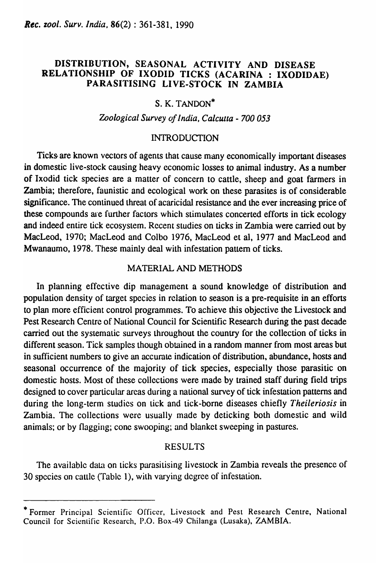# DISTRIBUTION, SEASONAL ACTIVITY AND DISEASE RELATIONSHIP OF IXODID TICKS (ACARINA: IXODIDAE) PARASITISING LIVE-STOCK IN ZAMBIA

# S. K. TANDON\*

## *Zoological Survey of India, Calcutta* - *700 053*

#### INTRODUCTION

Ticks are known vectors of agents that cause many economically important diseases in domestic live-stock causing heavy economic losses to animal industry. As a number of Ixodid tick species are a matter of concern to cattle, sheep and goat farmers in Zambia; therefore, faunistic and ecological work on these parasites is of considerable significance. The continued threat of acaricidal resistance and the ever increasing price of these compounds are further factors which stimulates concerted efforts in tick ecology and indeed entire tick ecosystem. Recent studies on ticks in Zambia were carried out by MacLeod, 1970; MacLeod and Colbo 1976, MacLeod et aI, 1977 and MacLeod and Mwanaumo, 1978. These mainly deal with infestation pattern of ticks.

## MATERIAL AND METHODS

In planning effective dip management a sound knowledge of distribution and population density of target species in relation to season is a pre-requisite in an efforts to plan more efficient control programmes. To achieve this objective the Livestock and Pest Research Centre of National Council for Scientific Research during the past decade carried out the systematic surveys throughout the country for the collection of ticks in different season. Tick samples though obtained in a random manner from most areas but in sufficient numbers to give an accurate indication of distribution, abundance, hosts and seasonal occurrence of the majority of tick species, especially those parasitic on domestic hosts. Most of these collections were made by trained staff during field trips designed to cover particular areas during a national survey of tick infestation patterns and during the long-term studies on tick and tick-borne diseases chiefly *Theileriosis* in Zambia. The collections were usually made by deticking both domestic and wild animals; or by flagging; cone swooping; and blanket sweeping in pastures.

#### RESULTS

The available data on ticks parasitising livestock in Zambia reveals the presence of 30 species on cattle (Table 1), with varying degree of infestation.

<sup>\*</sup> Former Principal Scientific Officer, Livestock and Pest Research Centre, National Council for Scientific Research, P.O. Box-49 Chilanga (Lusaka), ZAMBIA.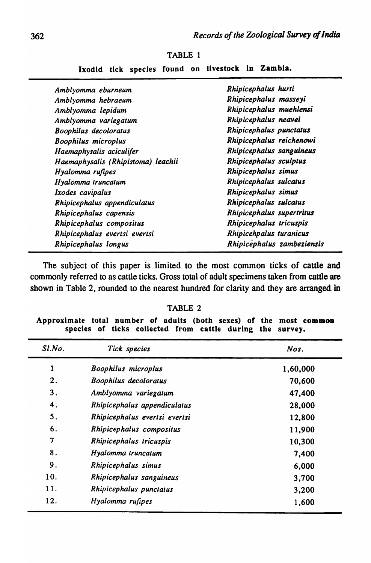| Amblyomma eburneum                 | Rhipicephalus hurti        |
|------------------------------------|----------------------------|
| Amblyomma hebraeum                 | Rhipicephalus masseyi      |
| Amblyomma lepidum                  | Rhipicephalus muehlensi    |
| Amblyomma variegatum               | Rhipicephalus neavei       |
| Boophilus decoloratus              | Rhipicephalus punctatus    |
| <b>Boophilus microplus</b>         | Rhipicephalus reichenowi   |
| Haemaphysalis aciculifer           | Rhipicephalus sanguineus   |
| Haemaphysalis (Rhipistoma) leachii | Rhipicephalus sculptus     |
| Hyalomma rufipes                   | Rhipicephalus simus        |
| Hyalomma truncatum                 | Rhipicephalus sulcatus     |
| Ixodes cavipalus                   | Rhipicephalus simus        |
| Rhipicephalus appendiculatus       | Rhipicephalus sulcatus     |
| Rhipicephalus capensis             | Rhipicephalus supertritus  |
| Rhipicephalus compositus           | Rhipicephalus tricuspis    |
| Rhipicephalus evertsi evertsi      | Rhipicehpalus turanicus    |
| Rhipicephalus longus               | Rhipicephalus zambeziensis |
|                                    |                            |

TABLE 1

Ixodid tick species found on livestock In Zambia.

The subject of this paper is limited to the most common ticks of cattle and commonly referred to as cattle ticks. Gross total of adult specimens taken from cattle are shown in Table 2, rounded to the nearest hundred for clarity and they are arranged. in

| <b>TABLE</b> |  |  |  |  |
|--------------|--|--|--|--|
|--------------|--|--|--|--|

Approximate total number of adults (both sexes) of the most common species of ticks collected from cattle during the survey.

| $Sl$ .No. | Tick species                  | Nos.     |
|-----------|-------------------------------|----------|
|           | <b>Boophilus microplus</b>    | 1,60,000 |
| 2.        | <b>Boophilus decoloratus</b>  | 70,600   |
| 3.        | Amblyomma variegatum          | 47,400   |
| 4.        | Rhipicephalus appendiculatus  | 28,000   |
| 5.        | Rhipicephalus evertsi evertsi | 12,800   |
| 6.        | Rhipicephalus compositus      | 11,900   |
| 7         | Rhipicephalus tricuspis       | 10,300   |
| 8.        | Hyalomma truncatum            | 7,400    |
| 9.        | Rhipicephalus simus           | 6,000    |
| 10.       | Rhipicephalus sanguineus      | 3,700    |
| 11.       | Rhipicephalus punctatus       | 3,200    |
| 12.       | Hyalomma rufipes              | 1,600    |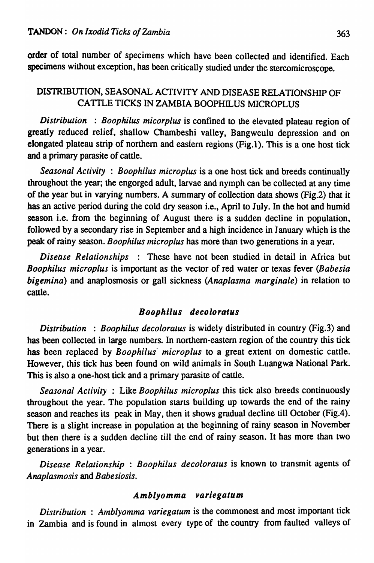order of total number of specimens which have been collected and identified. Each specimens without exception, has been critically studied under the stereomicroscope.

# DISTRIBUTION, SEASONAL ACTIVITY AND DISEASE RELATIONSHIP OF CATTLE TICKS IN ZAMBIA BOOPHILUS MICROPLUS

*Distribution* : *Boophilus micorplus* is confined to the elevated plateau region of greatly reduced relief, shallow Chambeshi valley, Bangweulu depression and on elongated plateau strip of northern and eastern regions (Fig.1). This is a one host tick and a primary parasite of cattle.

*Seasonal Activity* : *Boophilus microplus* is a one host tick and breeds continually throughout the year; the engorged adult, larvae and nymph can be collected at any time of the year but in varying numbers. A summary of collection data shows (Fig.2) that it .has an active period during the cold dry season i.e., April to July. In the hot and humid season i.e. from the beginning of August there is a sudden decline in population, followed by a secondary rise in September and a high incidence in January which is the peak of rainy season. *Boophilus microplus* has more than two generations in a year.

*Disease Relationships* : These have not been studied in detail in Africa but *Boophilus microplus* is important as the vector of red water or texas fever *(Babesia bigemina)* and anaplosmosis or gall sickness *(Anaplasma marginale)* in relation to cattle.

## **Boophilus** decoloratus

*Distribution* : *Boophilus decoloratus* is widely distributed in country (Fig.3) and has been collected in large numbers. In northern-eastern region of the country this tick has been replaced by *Boophilus' microplus* to a great extent on domestic cattle. However, this tick has been found on wild animals in South Luangwa National Park. This is also a one-host tick and a primary parasite of cattle.

*Seasonal Activity* : Like *Boophilus microplus* this tick also breeds continuously throughout the year. The population starts building up towards the end of the rainy season and reaches its peak in May, then it shows gradual decline till October (Fig.4). There is a slight increase in population at the beginning of rainy season in November but then there is a sudden decline till the end of rainy season. It has more than two generations in a year.

*Disease Relationship* : *Boophilus decoloratus* is known to transmit agents of *Anaplasmosis* and *Babesiosis.* 

#### Amblyomma variegatum

*Distribution* : Amblyomma variegatum is the commonest and most important tick in Zambia and is found in almost every type of the country from faulted valleys of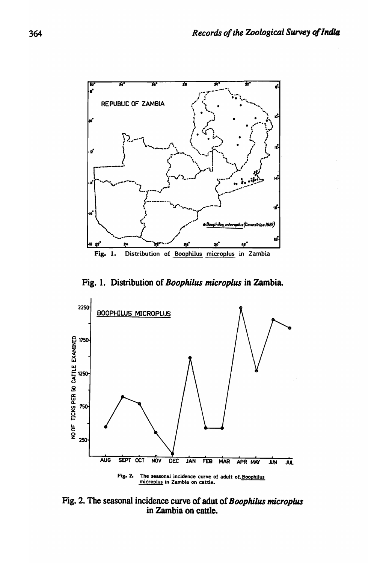

Fig. 1. Distribution of Boophilus microplus in Zambia.



Fig. 2. The seasonal incidence curve of adut of Boophilus microplus in Zambia on cattle.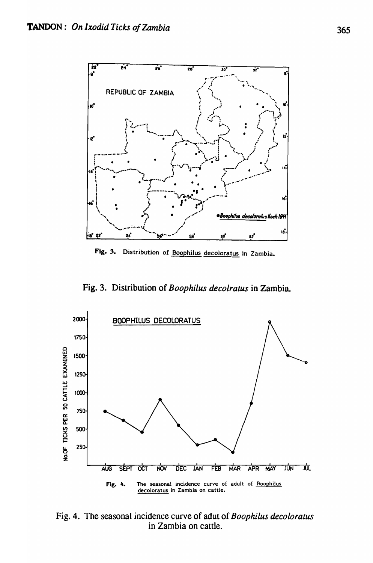

Fig. 3. Distribution of Boophilus decoloratus in Zambia.

Fig. 3. Distribution of Boophilus decolratus in Zambia.



Fig. 4. The seasonal incidence curve of adut of Boophilus decoloratus in Zambia on cattle.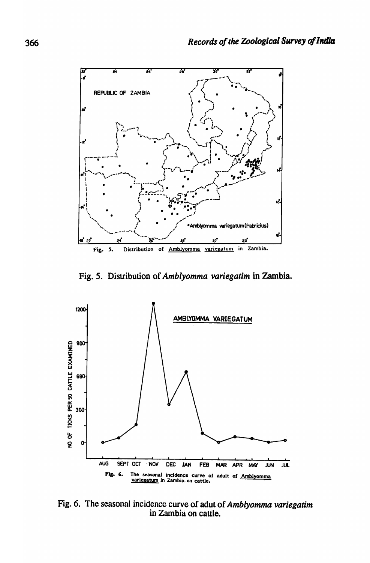

Fig. 5. Distribution of Amblyomma variegatim in Zambia.



Fig. 6. The seasonal incidence curve of adut of Amblyomma variegatim<br>in Zambia on cattle.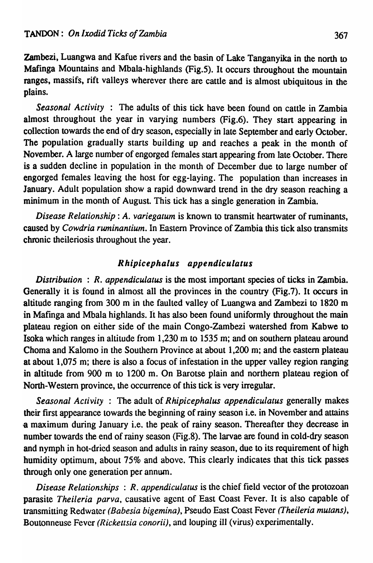Zambezi, Luangwa and Kafue rivers and the basin of Lake Tanganyika in the north to Mafinga Mountains and Mbala-highlands (Fig.5). It occurs throughout the mountain ranges, massifs, rift valleys wherever there are cattle and is almost ubiquitous in the plains.

*Seasonal Activity* : The adults of this tick have been found on cattle in Zambia almost throughout the year in varying numbers (Fig.6). They start appearing in collection towards the end of dry season, especially in late September and early October. The population gradually starts building up and reaches a peak in the month of November. A large number of engorged females start appearing from late October. There is a sudden decline in population in the month of December due to large number of engorged females leaving the host for egg-laying. The population than increases in January. Adult population show a rapid downward trend in the dry season reaching a minimum in the month of August. This tick has a single generation in Zambia.

*Disease Relationship: A. variegatum* is known to transmit heartwater of ruminants, caused by *Cowdria ruminantium.* In Eastern Province of Zambia this tick also transmits chronic theileriosis throughout the year.

## Rhipicephalus appendiculatus

*Distribution* : *R. appendiculatus* is the most important species of ticks in Zambia. Generally it is found in almost all the provinces in the country (Fig.7). It occurs in altitude ranging from 300 m in the faulted valley of Luangwa and Zambezi to' 1820 m in Mafinga and Mbala highlands. It has also been found uniformly throughout the main plateau region on either side of the main Congo-Zambezi watershed from Kabwe to Isoka which ranges in altitude from 1,230 m to 1535 m; and on southern plateau around Choma and Kalomo in the Southern Province at about 1,200 m; and the eastern plateau at about 1,075 m; there is also a focus of infestation in the upper valley region ranging in altitude from 900 m to 1200 m. On Barotse plain and northern plateau region of North-Western province, the occurrence of this tick is very irregular.

*Seasonal Activity* : The adult of *Rhipicephalus appendiculatus* generally makes their first appearance towards the beginning of rainy season i.e. in November and attains -a maximum during January i.e. the peak of rainy season. Thereafter they decrease in number towards the end of rainy season (Fig.8). The larvae are found in cold-dry season and nymph in hot-dried season and adults in rainy season, due to its requirement of high humidity optimum, about 75% and above. This clearly indicates that this tick passes through only one generation per annum.

*Disease Relationships* : *R. appendiculatus* is the chief field vector of the protozoan parasite *Theileria parva,* causative agent of East Coast Fever. It is also capable of transmitting Redwater *(Babesia bigemina),* Pseudo East Coast Fever *(Theileria mutans),*  Boutonneuse Fever *(Rickettsia conorii),* and louping ill (virus) experimentally.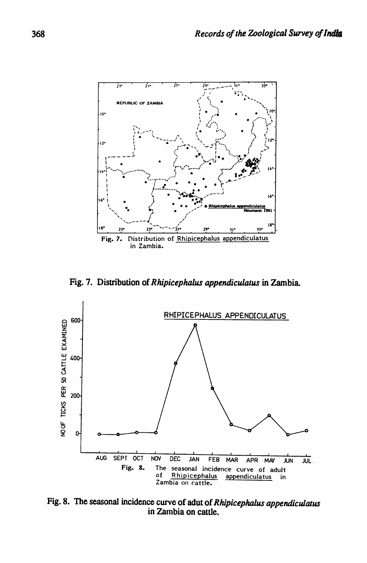

Fig. 7. Distribution of *Rhipicephalus appendiculatus* in Zambia.



Fig. 8. The seasonal incidence curve of adut of *Rhipicephalus appendiculatus* in Zanlbia on cattle.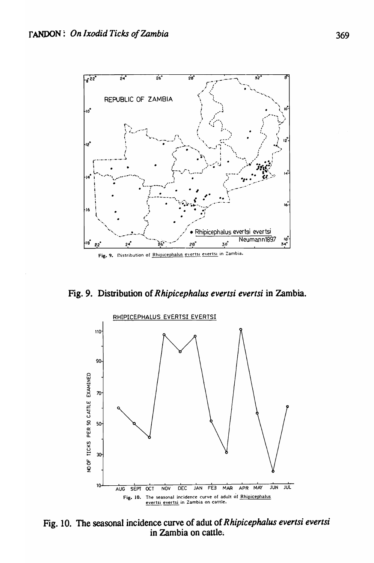

Fig. 9. Distribution of Rhipicephalus evertsi evertsi in Zambia.



Fig. 10. The seasonal incidence curve of adut of Rhipicephalus evertsi evertsi<br>in Zambia on cattle.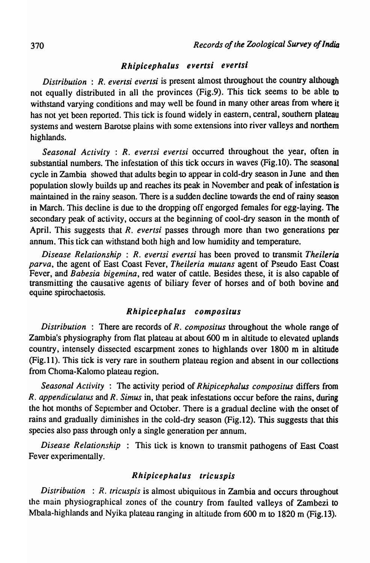# Rhipicephalus evertsi evertsi

*Distribution* : *R. evertsi everlsi* is present almost throughout the country although not equally distributed in all the provinces (Fig.9). This tick seems to be able to withstand varying conditions and may well be found in many other areas from where it has not yet been reported. This tick is found widely in eastern, central, southern plateau systems and western Barotse plains with some extensions into river valleys and northern highlands.

*Seasonal Activity* : *R. evertsi evertsi* occurred throughout the year, often in substantial numbers. The infestation of this tick occurs in waves (Fig.l0). The seasonal cycle in Zambia showed that adults begin to appear in cold-dry season in June and then population slowly builds up and reaches its peak in November and peak of infestation is maintained in the rainy season. There is a sudden decline towards the end of rainy season in March. This decline is due to the dropping off engorged females for egg-laying. The secondary peak of activity, occurs at the beginning of cool-dry season in the month of April. This suggests that *R. evertsi* passes through more than two generations per annum. This tick can withstand both high and low humidity and temperature.

*Disease Relationship* : *R. evertsi evertsi* has been proved to transmit *Theileria parva*, the agent of East Coast Fever, *Theileria mutans* agent of Pseudo East Coast Fever, and *Babesia bigemina,* red water of cattle. Besides these, it is also capable of transmitting the causative agents of biliary fever of horses and of both bovine and equine spirochaetosis.

#### Rhipicephalus compositus

*Distribution* : There are records of *R. compositus* throughout the whole range of Zambia's physiography from flat plateau at about 600 m in altitude to elevated uplands country, intensely dissected escarpment zones to highlands over 1800 m in altitude (Fig. 1 1). This tick is very rare in southern plateau region and absent in our collections from Choma-Kalomo plateau region.

*Seasonal Activity* : The activity period of *Rhipicephalus compositus* differs from *R. appendiculatus* and *R. Simus* in, that peak infestations occur before the rains, during the hot months of September and October. There is a gradual decline with the onset of rains and gradually diminishes in the cold-dry season (Fig.I2). This suggests that this species also pass through only a single generation per annum.

*Disease Relationship* : This tick is known to transmit pathogens of East Coast Fever experimentally.

### Rhipicephalus Iricuspis

*Distribution* : *R. tricuspis* is almost ubiquitous in Zambia and occurs throughout the main physiographical zones of the country from faulted valleys of Zambezi to Mbala-highlands and Nyika plateau ranging in altitude from 600 m to 1820 m (Fig.13).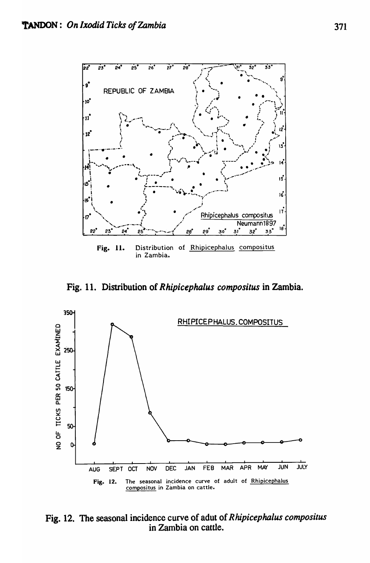

Fig. 11. Distribution of Rhipicephalus compositus in Zambia.



Fig. 12. The seasonal incidence curve of adut of Rhipicephalus compositus in Zambia on cattle.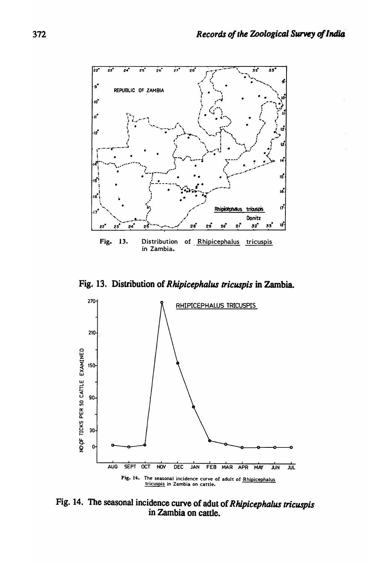

Fig. 13. Distribution of Rhipicephalus tricuspis in Zambia.



Fig. 14. The seasonal incidence curve of adut of Rhipicephalus tricuspis<br>in Zambia on cattle.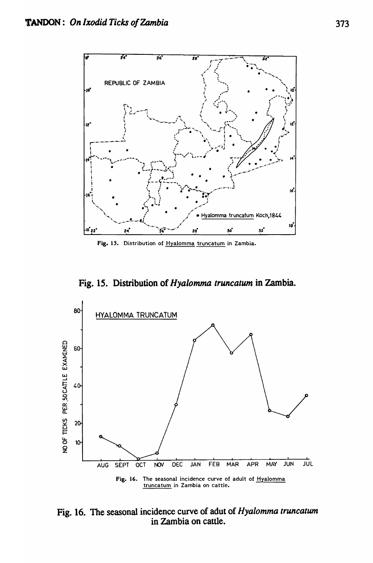

Fig. 15. Distribution of Hyalomma truncatum in Zambia.

Fig. 15. Distribution of *Hyalomma truncatum* in Zambia.



Fig. 16. The seasonal incidence curve of adut of *Hyalomma truncatwn*  in Zambia on cattle.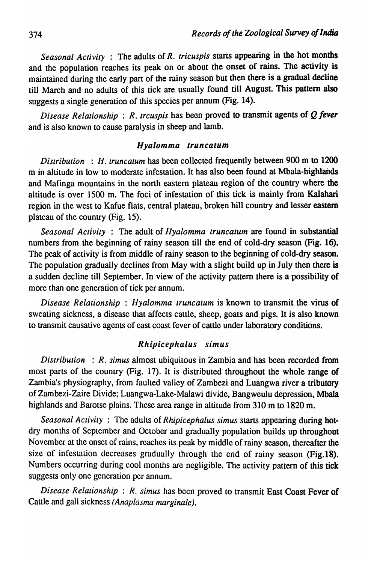*Seasonal Activity* : The adults of *R. tricuspis* starts appearing in the hot months and the population reaches its peak on or about the onset of rains. The activity is maintained during the early part of the rainy season but then there is a gradual decline till March and no adults of this tick are usually found till August. This pattern also suggests a single generation of this species per annum (Fig. 14).

*Disease Relationship* : *R. trcuspis* has been proved to transmit agents of Q *fever*  and is also known to cause paralysis in sheep and lamb.

#### *Hyalomma truncatum*

*Distribution* : *H. truncatum* has been collected frequently between 900 m to 1200 m in altitude in low to moderate infestation. It has also been found at Mbala-highlands and Mafinga mountains in the north eastern plateau region of the country where the altitude is over 1500 m. The foci of infestation of this tick is mainly from Kalahari region in the west to Kafue flats, central plateau, broken hill country and lesser eastern plateau of the country (Fig. 15).

*Seasonal Activity* : The adult of *Jlyalomma truncatum* are found in substantial numbers from the beginning of rainy season till the end of cold-dry season (Fig. 16). The peak of activity is from middle of rainy season to the beginning of cold-dry season. The population gradually declines from May with a slight build up in July then there is a sudden decline till September. In view of the activity pattern there is a possibility of more than one generation of tick per annum.

*Disease Relationship: Hyalomma truncatum* is known to transmit the virus of sweating sickness, a disease that affects cattle, sheep, goats and pigs. It is also known to transmit causative agents of east coast fever of cattle under laboratory conditions.

## Rhipicephalus simus

*Distribution* : *R. simus* almost ubiquitous in Zambia and has been recorded from most parts of the country (Fig. 17). It is distributed throughout the whole range of Zambia's physiography, from faulted valley of Zambezi and Luangwa river a tributory ofZambezi-Zaire Divide; Luangwa-Lake-Malawi divide, Bangweulu depression, Mbala highlands and Barotse plains. These area range in altitude from 310 m to 1820 m.

*Seasonal Activity* : The adults of *Rhipicephalus simus* starts appearing during hotdry months of September and October and gradually population builds up throughout November at the onset of rains, reaches its peak by middle of rainy season, thereafter the size of infestation decreases gradually through the end of rainy season (Fig. 18). Numbers occurring during cool months are negligible. The activity pattern of this tick suggests only one generation per annum.

*Disease Relalionship* : *R. simus* has been proved to transmit East Coast Fever of Cattle and gaIl sickness *(Anaplasma marginale).*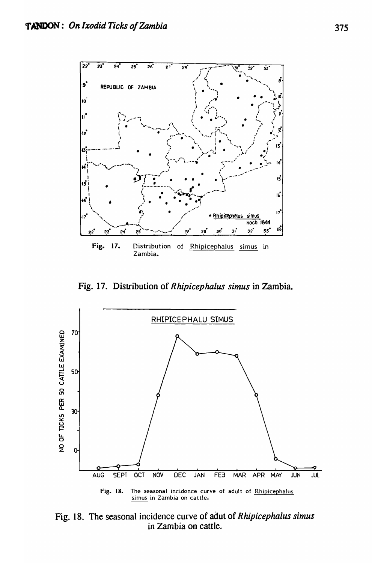

Fig. 17. Distribution of *R hipicepha/us simus* in Zambia.



Fig. 18. The seasonal incidence curve of adut of *Rhipicephalus simus*  in Zambia on cattle.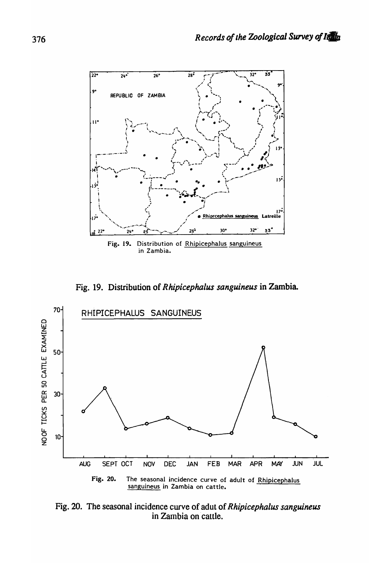

Fig. 19. Distribution of Rhipicephalus sanguineus in Zambia.



Fig. 20. The seasonal incidence curve of adut of *Rhipicephalus sanguineus*<br>in Zambia on cattle.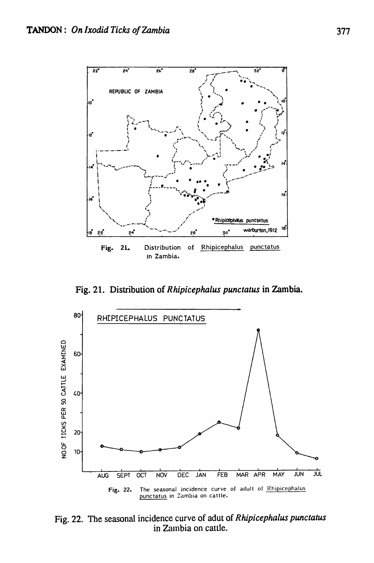

Fig. 21. Distribution of *Rhipicephalus punctatus* in Zambia.



Fig. 22. The seasonal incidence curve of adut of *Rhipicephalus punctatus*  in Zambia on cattle.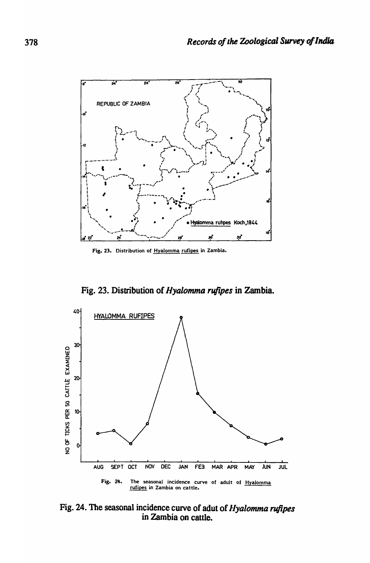

Fig. 23. Distribution of Hyalomma rufipes in Zambia.

Fig. 23. Distribution of Hyalomma rufipes in Zambia.



Fig. 24. The seasonal incidence curve of adut of Hyalomma rufipes<br>in Zambia on cattle.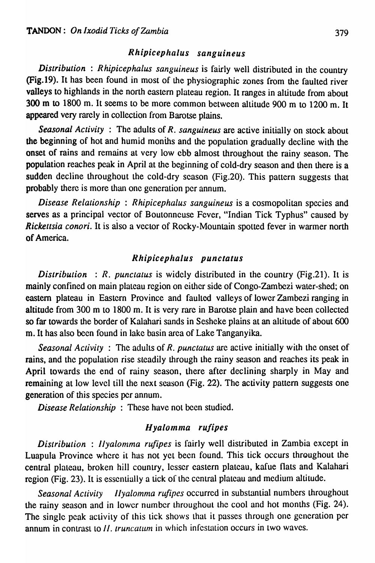## *Rhipicephalus sanguineus*

*Distribution* : *Rhipicephalus sanguineus* is fairly well distributed in the country (Fig.19). It has been found in most of the physiographic zones from the faulted river valleys to highlands in the north eastern plateau region. It ranges in altitude from about 300 m to 1800 m. It seems to be more common between altitude 900 m to 1200 m. It appeared very rarely in collection from Barotse plains.

*Seasonal Activity* : The adults of *R. sanguineus* are active initially on stock about the beginning of hot and humid monihs and the population gradually decline with the onset of rains and remains at very low ebb almost throughout the rainy season. The population reaches peak in April at the beginning of cold-dry season and then there is a sudden decline throughout the cold-dry season (Fig.20). This pattern suggests that probably there is more than one generation per annum.

*Disease Relationship : Rhipicephalus sanguineus* is a cosmopolitan species and serves as a principal vector of Boutonneuse Fever, "Indian Tick Typhus" caused by *Rickettsia conori*. It is also a vector of Rocky-Mountain spotted fever in warmer north of America.

#### *Rhipicephalus punctatus*

*Distribution* : *R. punctatus* is widely distributed in the country (Fig.21). It is mainly confined on main plateau region on either side of Congo-Zambczi water-shed; on eastern plateau in Eastern Province and faulted valleys of lower Zambezi ranging in altitude from 300 m to 1800 m. It is very rare in Barotse plain and have been collected so far towards the border of Kalahari sands in Sesheke plains at an altitude of about 600 m. It has also been found in lake basin area of Lake Tanganyika.

*Seasonal Activity* : The adults of *R. punctatus* arc active initially with the onset of rains, and the population rise steadily through the rainy season and reaches its peak in April towards the end of rainy season, there after declining sharply in May and remaining at low level till the next season (Fig. 22). The activity pattern suggests one generation of this species per annum.

*Disease Relationship:* These have not been studied.

## *Hyalomma rUfipes*

*Distribution : Ilyalomma rufipes* is fairly well distributed in Zambia except in Luapula Province where it has not yet been found. This tick occurs throughout the central plateau, broken hill country, lesser eastern plateau, kafue flats and Kalahari region (Fig. 23). It is essentially a tick of the central plateau and medium altitude.

*Seasonal Activity IIyalomma rufipes* occurred in substantial numbers throughout the rainy season and in lower number throughout the cool and hot months (Fig. 24). The single peak activity of this tick shows that it passes through one generation per annum in contrast to *II. truncatum* in which infestation occurs in two waves.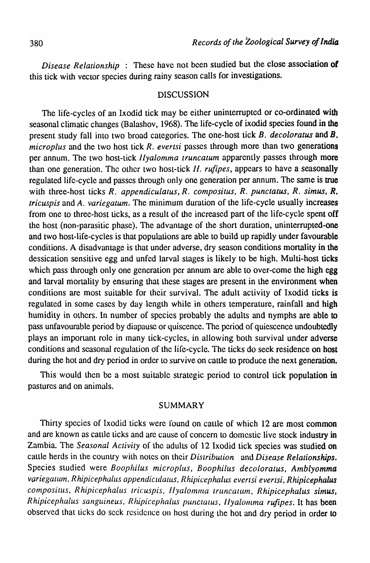*Disease Relationship* : These have not been studied but the close association of this tick with vector species during rainy season calls for investigations.

#### DISCUSSION

The life-cycles of an Ixodid tick may be either uninterrupted or co-ordinated with seasonal climatic changes (Balashov, 1968). The life-cycle of ixodid species found in the present study fall into two broad categories. The one-host tick *B. decoloratus* and B. *microplus* and the two host tick *R. evertsi* passes through more than two generations per annum. The two host-tick *llyalomma truncatum* apparently passes through morethan one generation. The other two host-tick *II. rufipes*, appears to have a seasonally regulated life-cycle and passes through only one generation per annum. The same is true with three-host ticks R. appendiculatus, R. compositus, R. punctatus, R. simus, R. *tricuspis* and *A. variegatum.* The minimum duration of the life-cycle usually increases from one to three-host ticks, as a result of the increased part of the life-cycle spent off the host (non-parasitic phase). The advantage of the short duration, uninterrupted-one and two host-life-cycles is that populations are able to build up rapidly under favourable conditions. A disadvantage is that under adverse, dry season conditions mortality in the dessication sensitive egg and unfed larval stages is likely to be high. Multi-host ticks which pass through only one generation per annum are able to over-come the high egg and larval mortality by ensuring that these stages are present in the environment when conditions are most suitable for their survival. The adult activity of Ixodid ticks is regulated in some cases by day length while in others temperature, rainfall and high humidity in others. In number of species probably the adults and nymphs are able to pass unfavourable period by diapausc or quiscence. The period of quiescence undoubtedly plays an important role in many tick-cycles, in allowing both survival under adverse conditions and seasonal regulation of the life-cycle. The ticks do seek residence on host during the hot and dry period in order to survive on cattle to produce the next generation.

This would then be a most suitable strategic period to control tick population in pastures and on animals.

#### SUMMARY

Thirty species of Ixodid ticks were found on cattle of which 12 are most common and are known as cattle ticks and arc cause of concern to domestic live stock industry in Zambia. The *Seasonal Activity* of the adults of 12 Ixodid tick species was studied on cattle herds in the country with notes on their *Distribution* and *Disease Relationships.*  Species studied were *Boophilus microplus, Boophilus decoloralus, Amblyomma*  variegatum, Rhipicephalus appendiculatus, Rhipicephalus evertsi evertsi, Rhipicephalus compositus, Rhipicephalus tricuspis, Ilyalomma truncatum, Rhipicephalus simus, *Rhipicephalus sanguineus, Rhipicephalus punclatus, IIyalomma rufipes. It has been* observed that ticks do seek residence on host during the hot and dry period in order to